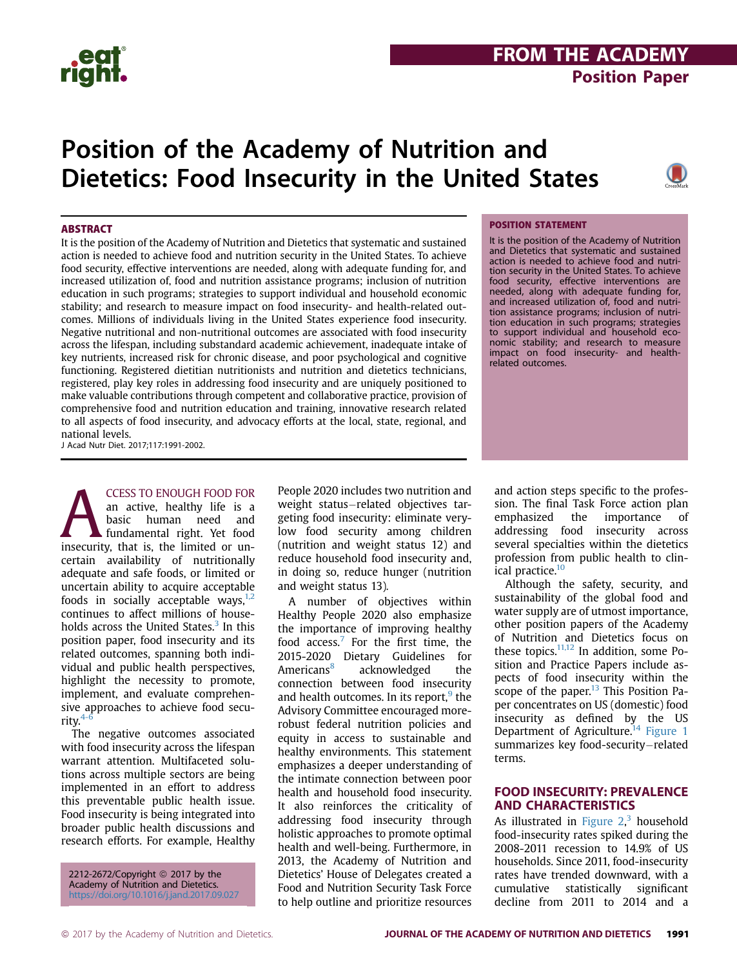## **FROM THE ACADEMY**<br>Position Paper Position Paper

## Position of the Academy of Nutrition and Dietetics: Food Insecurity in the United States



#### **ARSTRACT**

It is the position of the Academy of Nutrition and Dietetics that systematic and sustained action is needed to achieve food and nutrition security in the United States. To achieve food security, effective interventions are needed, along with adequate funding for, and increased utilization of, food and nutrition assistance programs; inclusion of nutrition education in such programs; strategies to support individual and household economic stability; and research to measure impact on food insecurity- and health-related outcomes. Millions of individuals living in the United States experience food insecurity. Negative nutritional and non-nutritional outcomes are associated with food insecurity across the lifespan, including substandard academic achievement, inadequate intake of key nutrients, increased risk for chronic disease, and poor psychological and cognitive functioning. Registered dietitian nutritionists and nutrition and dietetics technicians, registered, play key roles in addressing food insecurity and are uniquely positioned to make valuable contributions through competent and collaborative practice, provision of comprehensive food and nutrition education and training, innovative research related to all aspects of food insecurity, and advocacy efforts at the local, state, regional, and national levels.

J Acad Nutr Diet. 2017;117:1991-2002.

**EXECUSS TO ENOUGH FOOD FOR**<br>
an active, healthy life is a<br>
basic human need and<br>
fundamental right. Yet food<br>
insecurity, that is, the limited or unan active, healthy life is a basic human need and fundamental right. Yet food certain availability of nutritionally adequate and safe foods, or limited or uncertain ability to acquire acceptable foods in socially acceptable ways, $1,2$ continues to affect millions of households across the United States.<sup>3</sup> In this position paper, food insecurity and its related outcomes, spanning both individual and public health perspectives, highlight the necessity to promote, implement, and evaluate comprehensive approaches to achieve food security. $4-$ 

The negative outcomes associated with food insecurity across the lifespan warrant attention. Multifaceted solutions across multiple sectors are being implemented in an effort to address this preventable public health issue. Food insecurity is being integrated into broader public health discussions and research efforts. For example, Healthy

2212-2672/Copyright © 2017 by the Academy of Nutrition and Dietetics. https://doi.org/10.1016/j.jand.2017.09.027 People 2020 includes two nutrition and weight status-related objectives targeting food insecurity: eliminate verylow food security among children (nutrition and weight status 12) and reduce household food insecurity and, in doing so, reduce hunger (nutrition and weight status 13).

A number of objectives within Healthy People 2020 also emphasize the importance of improving healthy food access. $7$  For the first time, the 2015-2020 Dietary Guidelines for Americans<sup>8</sup> acknowledged the connection between food insecurity and health outcomes. In its report, $9$  the Advisory Committee encouraged morerobust federal nutrition policies and equity in access to sustainable and healthy environments. This statement emphasizes a deeper understanding of the intimate connection between poor health and household food insecurity. It also reinforces the criticality of addressing food insecurity through holistic approaches to promote optimal health and well-being. Furthermore, in 2013, the Academy of Nutrition and Dietetics' House of Delegates created a Food and Nutrition Security Task Force to help outline and prioritize resources

#### POSITION STATEMENT

It is the position of the Academy of Nutrition and Dietetics that systematic and sustained action is needed to achieve food and nutrition security in the United States. To achieve food security, effective interventions are needed, along with adequate funding for, and increased utilization of, food and nutrition assistance programs; inclusion of nutrition education in such programs; strategies to support individual and household economic stability; and research to measure impact on food insecurity- and healthrelated outcomes.

and action steps specific to the profession. The final Task Force action plan emphasized the importance of addressing food insecurity across several specialties within the dietetics profession from public health to clinical practice.<sup>10</sup>

Although the safety, security, and sustainability of the global food and water supply are of utmost importance, other position papers of the Academy of Nutrition and Dietetics focus on these topics.11,12 In addition, some Position and Practice Papers include aspects of food insecurity within the scope of the paper. $13$  This Position Paper concentrates on US (domestic) food insecurity as defined by the US Department of Agriculture.<sup>14</sup> Figure 1 summarizes key food-security-related terms.

## FOOD INSECURITY: PREVALENCE<br>AND CHARACTERISTICS

As illustrated in Figure  $2<sup>3</sup>$  household food-insecurity rates spiked during the 2008-2011 recession to 14.9% of US households. Since 2011, food-insecurity rates have trended downward, with a cumulative statistically significant decline from 2011 to 2014 and a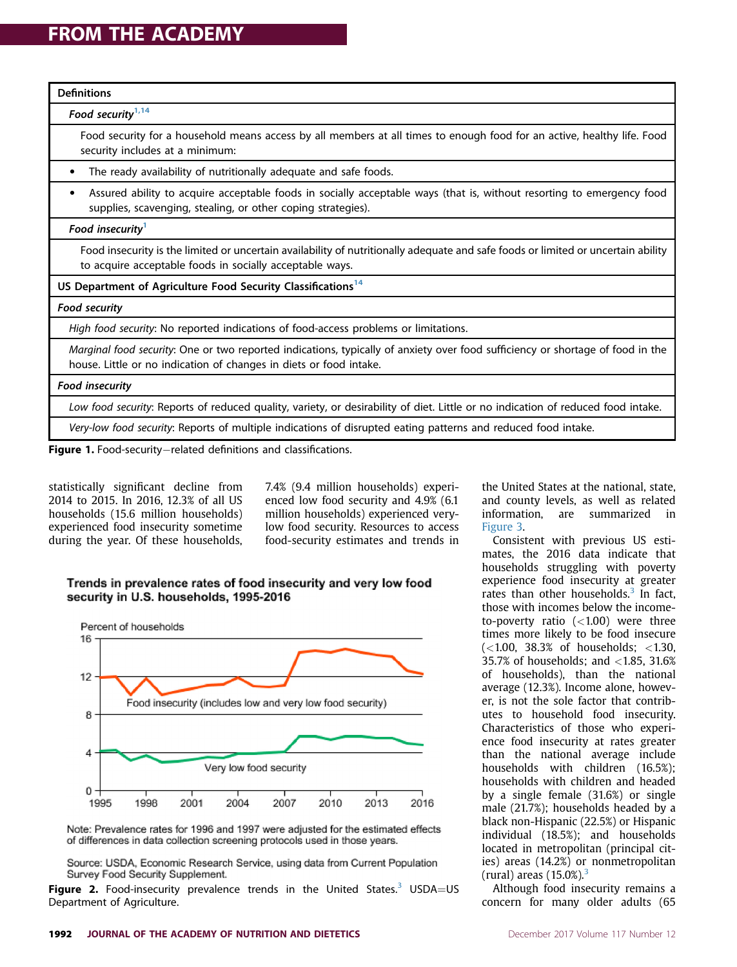| <b>Definitions</b>                                                                                                                                                                                   |
|------------------------------------------------------------------------------------------------------------------------------------------------------------------------------------------------------|
| Food security $1,14$                                                                                                                                                                                 |
| Food security for a household means access by all members at all times to enough food for an active, healthy life. Food<br>security includes at a minimum:                                           |
| The ready availability of nutritionally adequate and safe foods.                                                                                                                                     |
| Assured ability to acquire acceptable foods in socially acceptable ways (that is, without resorting to emergency food<br>٠<br>supplies, scavenging, stealing, or other coping strategies).           |
| Food insecurity <sup>1</sup>                                                                                                                                                                         |
| Food insecurity is the limited or uncertain availability of nutritionally adequate and safe foods or limited or uncertain ability<br>to acquire acceptable foods in socially acceptable ways.        |
| US Department of Agriculture Food Security Classifications <sup>14</sup>                                                                                                                             |
| <b>Food security</b>                                                                                                                                                                                 |
| High food security: No reported indications of food-access problems or limitations.                                                                                                                  |
| Marginal food security: One or two reported indications, typically of anxiety over food sufficiency or shortage of food in the<br>house. Little or no indication of changes in diets or food intake. |
| <b>Food insecurity</b>                                                                                                                                                                               |
| Low food security: Reports of reduced quality, variety, or desirability of diet. Little or no indication of reduced food intake.                                                                     |
| Very-low food security: Reports of multiple indications of disrupted eating patterns and reduced food intake.                                                                                        |
| Figure 1. Fand convictive political definitions and closedfrontinum                                                                                                                                  |

**Figure 1.** Food-security–related definitions and classifications.

statistically significant decline from 2014 to 2015. In 2016, 12.3% of all US households (15.6 million households) experienced food insecurity sometime during the year. Of these households,

7.4% (9.4 million households) experienced low food security and 4.9% (6.1 million households) experienced verylow food security. Resources to access food-security estimates and trends in

#### Trends in prevalence rates of food insecurity and very low food security in U.S. households, 1995-2016



Note: Prevalence rates for 1996 and 1997 were adjusted for the estimated effects of differences in data collection screening protocols used in those years.

Source: USDA, Economic Research Service, using data from Current Population Survey Food Security Supplement.

**Figure 2.** Food-insecurity prevalence trends in the United States.<sup>3</sup> USDA=US Department of Agriculture.

the United States at the national, state, and county levels, as well as related information, are summarized in Figure 3.

Consistent with previous US estimates, the 2016 data indicate that households struggling with poverty experience food insecurity at greater rates than other households. $3$  In fact, those with incomes below the incometo-poverty ratio  $(<1.00)$  were three times more likely to be food insecure  $(<1.00, 38.3%$  of households;  $<1.30,$ 35.7% of households; and <1.85, 31.6% of households), than the national average (12.3%). Income alone, however, is not the sole factor that contributes to household food insecurity. Characteristics of those who experience food insecurity at rates greater than the national average include households with children (16.5%); households with children and headed by a single female (31.6%) or single male (21.7%); households headed by a black non-Hispanic (22.5%) or Hispanic individual (18.5%); and households located in metropolitan (principal cities) areas (14.2%) or nonmetropolitan (rural) areas  $(15.0\%)$ <sup>3</sup>

Although food insecurity remains a concern for many older adults (65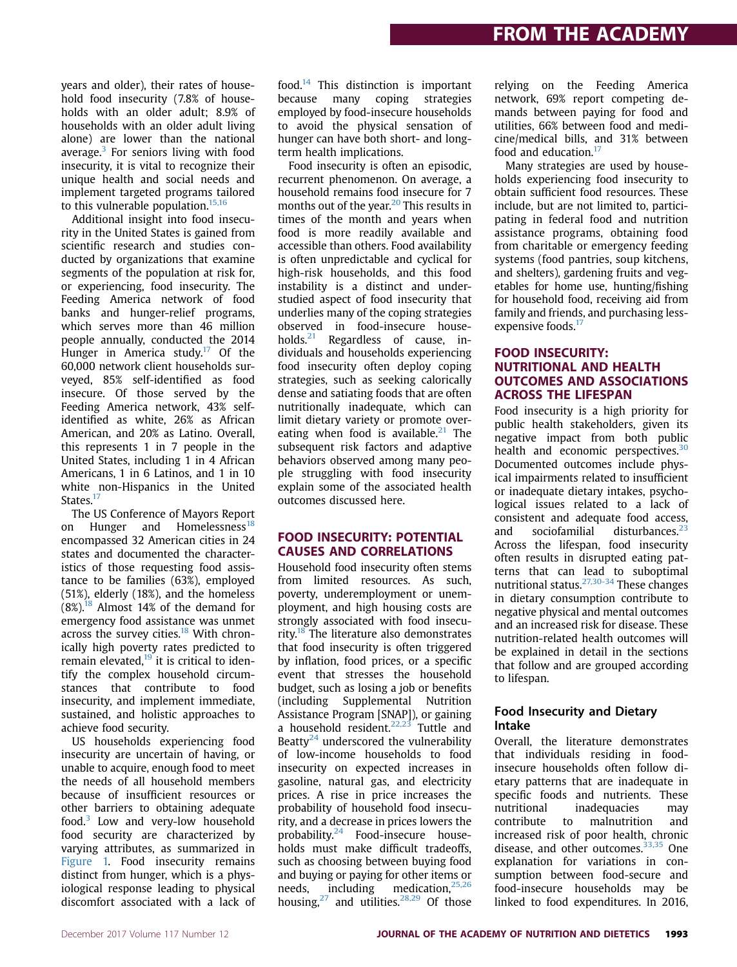years and older), their rates of household food insecurity (7.8% of households with an older adult; 8.9% of households with an older adult living alone) are lower than the national average. $3$  For seniors living with food insecurity, it is vital to recognize their unique health and social needs and implement targeted programs tailored to this vulnerable population.<sup>15,16</sup>

Additional insight into food insecurity in the United States is gained from scientific research and studies conducted by organizations that examine segments of the population at risk for, or experiencing, food insecurity. The Feeding America network of food banks and hunger-relief programs, which serves more than 46 million people annually, conducted the 2014 Hunger in America study.<sup>17</sup> Of the 60,000 network client households surveyed, 85% self-identified as food insecure. Of those served by the Feeding America network, 43% selfidentified as white, 26% as African American, and 20% as Latino. Overall, this represents 1 in 7 people in the United States, including 1 in 4 African Americans, 1 in 6 Latinos, and 1 in 10 white non-Hispanics in the United States.<sup>17</sup>

The US Conference of Mayors Report on Hunger and Homelessness<sup>18</sup> encompassed 32 American cities in 24 states and documented the characteristics of those requesting food assistance to be families (63%), employed (51%), elderly (18%), and the homeless  $(8\%)$ <sup>18</sup> Almost 14% of the demand for emergency food assistance was unmet across the survey cities.<sup>18</sup> With chronically high poverty rates predicted to remain elevated.<sup>19</sup> it is critical to identify the complex household circumstances that contribute to food insecurity, and implement immediate, sustained, and holistic approaches to achieve food security.

US households experiencing food insecurity are uncertain of having, or unable to acquire, enough food to meet the needs of all household members because of insufficient resources or other barriers to obtaining adequate food.<sup>3</sup> Low and very-low household food security are characterized by varying attributes, as summarized in Figure 1. Food insecurity remains distinct from hunger, which is a physiological response leading to physical discomfort associated with a lack of food. $14$  This distinction is important because many coping strategies employed by food-insecure households to avoid the physical sensation of hunger can have both short- and longterm health implications.

Food insecurity is often an episodic, recurrent phenomenon. On average, a household remains food insecure for 7 months out of the year.<sup>20</sup> This results in times of the month and years when food is more readily available and accessible than others. Food availability is often unpredictable and cyclical for high-risk households, and this food instability is a distinct and understudied aspect of food insecurity that underlies many of the coping strategies observed in food-insecure households.<sup>21</sup> Regardless of cause, individuals and households experiencing food insecurity often deploy coping strategies, such as seeking calorically dense and satiating foods that are often nutritionally inadequate, which can limit dietary variety or promote overeating when food is available. $21$  The subsequent risk factors and adaptive behaviors observed among many people struggling with food insecurity explain some of the associated health outcomes discussed here.

## FOOD INSECURITY: POTENTIAL

Household food insecurity often stems from limited resources. As such, poverty, underemployment or unemployment, and high housing costs are strongly associated with food insecurity. $18$  The literature also demonstrates that food insecurity is often triggered by inflation, food prices, or a specific event that stresses the household budget, such as losing a job or benefits (including Supplemental Nutrition Assistance Program [SNAP]), or gaining a household resident. $22,23$  Tuttle and Beatty<sup>24</sup> underscored the vulnerability of low-income households to food insecurity on expected increases in gasoline, natural gas, and electricity prices. A rise in price increases the probability of household food insecurity, and a decrease in prices lowers the probability. $24$  Food-insecure households must make difficult tradeoffs, such as choosing between buying food and buying or paying for other items or needs, including medication,<sup>25,26</sup> housing, $27$  and utilities. $28,29$  Of those

relying on the Feeding America network, 69% report competing demands between paying for food and utilities, 66% between food and medicine/medical bills, and 31% between food and education.<sup>17</sup>

Many strategies are used by households experiencing food insecurity to obtain sufficient food resources. These include, but are not limited to, participating in federal food and nutrition assistance programs, obtaining food from charitable or emergency feeding systems (food pantries, soup kitchens, and shelters), gardening fruits and vegetables for home use, hunting/fishing for household food, receiving aid from family and friends, and purchasing lessexpensive foods.<sup>17</sup>

### FOOD INSECURITY:<br>NUTRITIONAL AND HEALTH **OUTCOMES AND ASSOCIATIONS ACROSS THE LIFESPAN**

Food insecurity is a high priority for public health stakeholders, given its negative impact from both public health and economic perspectives.<sup>30</sup> Documented outcomes include physical impairments related to insufficient or inadequate dietary intakes, psychological issues related to a lack of consistent and adequate food access, and sociofamilial disturbances.<sup>23</sup> Across the lifespan, food insecurity often results in disrupted eating patterns that can lead to suboptimal nutritional status.27,30-34 These changes in dietary consumption contribute to negative physical and mental outcomes and an increased risk for disease. These nutrition-related health outcomes will be explained in detail in the sections that follow and are grouped according to lifespan.

#### Food Insecurity and Dietary Intake

Overall, the literature demonstrates that individuals residing in foodinsecure households often follow dietary patterns that are inadequate in specific foods and nutrients. These nutritional inadequacies may contribute to malnutrition and increased risk of poor health, chronic disease, and other outcomes. $33,35$  One explanation for variations in consumption between food-secure and food-insecure households may be linked to food expenditures. In 2016,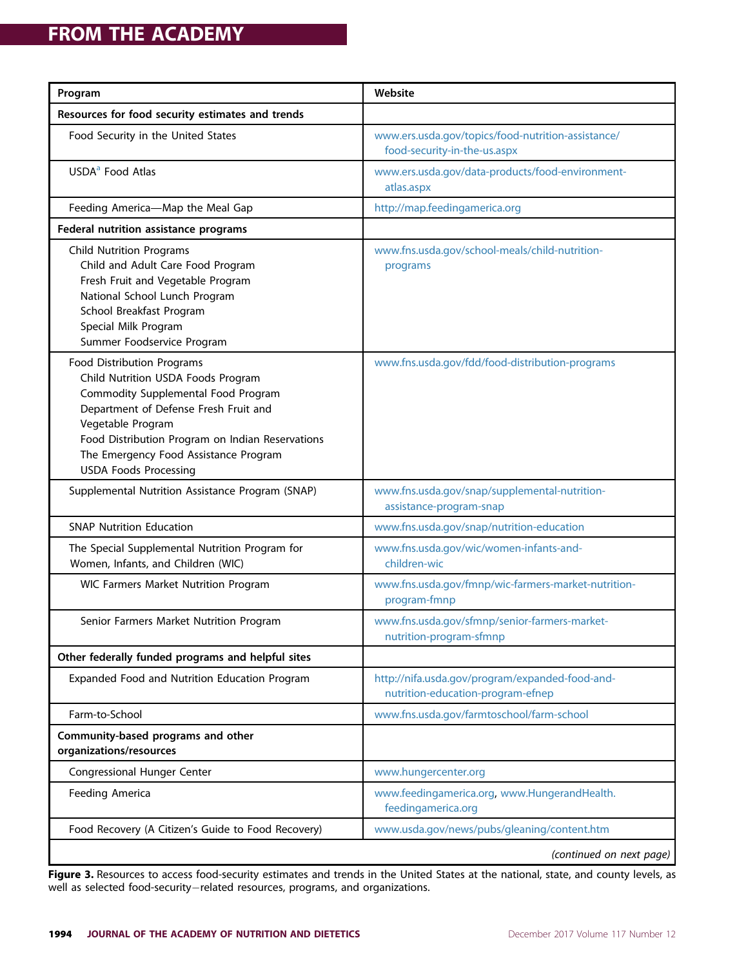| Program                                                                                                                                                                                                                                                                                            | Website                                                                              |
|----------------------------------------------------------------------------------------------------------------------------------------------------------------------------------------------------------------------------------------------------------------------------------------------------|--------------------------------------------------------------------------------------|
| Resources for food security estimates and trends                                                                                                                                                                                                                                                   |                                                                                      |
| Food Security in the United States                                                                                                                                                                                                                                                                 | www.ers.usda.gov/topics/food-nutrition-assistance/<br>food-security-in-the-us.aspx   |
| USDA <sup>a</sup> Food Atlas                                                                                                                                                                                                                                                                       | www.ers.usda.gov/data-products/food-environment-<br>atlas.aspx                       |
| Feeding America-Map the Meal Gap                                                                                                                                                                                                                                                                   | http://map.feedingamerica.org                                                        |
| Federal nutrition assistance programs                                                                                                                                                                                                                                                              |                                                                                      |
| <b>Child Nutrition Programs</b><br>Child and Adult Care Food Program<br>Fresh Fruit and Vegetable Program<br>National School Lunch Program<br>School Breakfast Program<br>Special Milk Program<br>Summer Foodservice Program                                                                       | www.fns.usda.gov/school-meals/child-nutrition-<br>programs                           |
| Food Distribution Programs<br>Child Nutrition USDA Foods Program<br>Commodity Supplemental Food Program<br>Department of Defense Fresh Fruit and<br>Vegetable Program<br>Food Distribution Program on Indian Reservations<br>The Emergency Food Assistance Program<br><b>USDA Foods Processing</b> | www.fns.usda.gov/fdd/food-distribution-programs                                      |
| Supplemental Nutrition Assistance Program (SNAP)                                                                                                                                                                                                                                                   | www.fns.usda.gov/snap/supplemental-nutrition-<br>assistance-program-snap             |
| <b>SNAP Nutrition Education</b>                                                                                                                                                                                                                                                                    | www.fns.usda.gov/snap/nutrition-education                                            |
| The Special Supplemental Nutrition Program for<br>Women, Infants, and Children (WIC)                                                                                                                                                                                                               | www.fns.usda.gov/wic/women-infants-and-<br>children-wic                              |
| WIC Farmers Market Nutrition Program                                                                                                                                                                                                                                                               | www.fns.usda.gov/fmnp/wic-farmers-market-nutrition-<br>program-fmnp                  |
| Senior Farmers Market Nutrition Program                                                                                                                                                                                                                                                            | www.fns.usda.gov/sfmnp/senior-farmers-market-<br>nutrition-program-sfmnp             |
| Other federally funded programs and helpful sites                                                                                                                                                                                                                                                  |                                                                                      |
| Expanded Food and Nutrition Education Program                                                                                                                                                                                                                                                      | http://nifa.usda.gov/program/expanded-food-and-<br>nutrition-education-program-efnep |
| Farm-to-School                                                                                                                                                                                                                                                                                     | www.fns.usda.gov/farmtoschool/farm-school                                            |
| Community-based programs and other<br>organizations/resources                                                                                                                                                                                                                                      |                                                                                      |
| <b>Congressional Hunger Center</b>                                                                                                                                                                                                                                                                 | www.hungercenter.org                                                                 |
| Feeding America                                                                                                                                                                                                                                                                                    | www.feedingamerica.org, www.HungerandHealth.<br>feedingamerica.org                   |
| Food Recovery (A Citizen's Guide to Food Recovery)                                                                                                                                                                                                                                                 | www.usda.gov/news/pubs/gleaning/content.htm                                          |
|                                                                                                                                                                                                                                                                                                    | (continued on next page)                                                             |

Figure 3. Resources to access food-security estimates and trends in the United States at the national, state, and county levels, as well as selected food-security-related resources, programs, and organizations.

Į,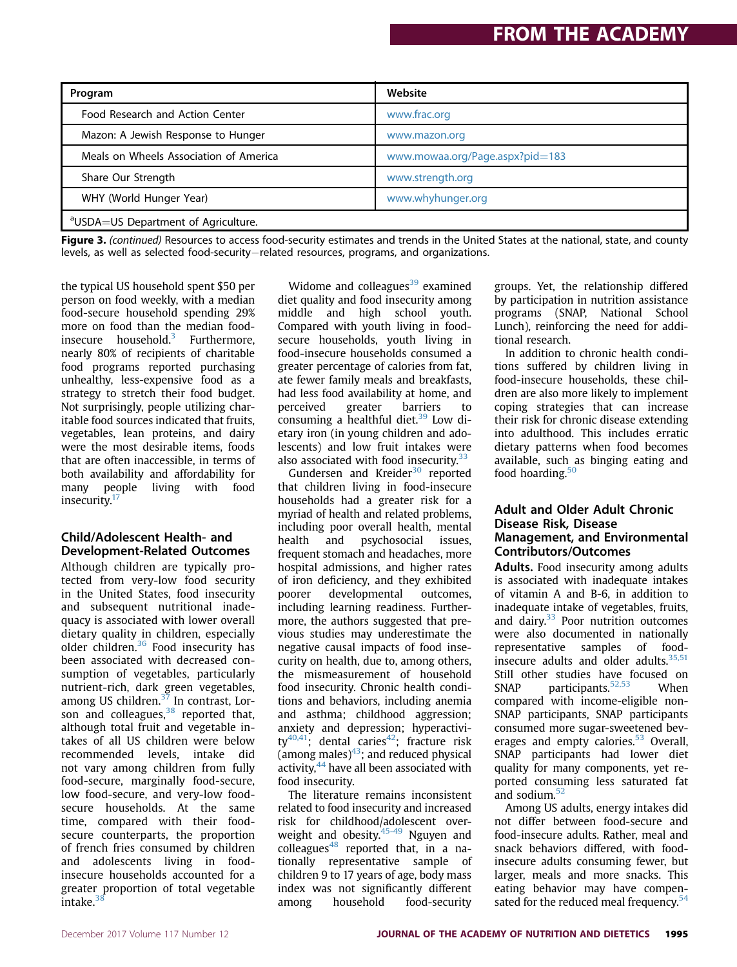| Program                                         | Website                         |
|-------------------------------------------------|---------------------------------|
| Food Research and Action Center                 | www.frac.org                    |
| Mazon: A Jewish Response to Hunger              | www.mazon.org                   |
| Meals on Wheels Association of America          | www.mowaa.org/Page.aspx?pid=183 |
| Share Our Strength                              | www.strength.org                |
| WHY (World Hunger Year)                         | www.whyhunger.org               |
| <sup>a</sup> USDA=US Department of Agriculture. |                                 |

Figure 3. (continued) Resources to access food-security estimates and trends in the United States at the national, state, and county levels, as well as selected food-security-related resources, programs, and organizations.

the typical US household spent \$50 per person on food weekly, with a median food-secure household spending 29% more on food than the median foodinsecure household. $3$  Furthermore, nearly 80% of recipients of charitable food programs reported purchasing unhealthy, less-expensive food as a strategy to stretch their food budget. Not surprisingly, people utilizing charitable food sources indicated that fruits, vegetables, lean proteins, and dairy were the most desirable items, foods that are often inaccessible, in terms of both availability and affordability for many people living with food insecurity.<sup>17</sup>

#### Child/Adolescent Health- and Development-Related Outcomes

Although children are typically protected from very-low food security in the United States, food insecurity and subsequent nutritional inadequacy is associated with lower overall dietary quality in children, especially older children.<sup>36</sup> Food insecurity has been associated with decreased consumption of vegetables, particularly nutrient-rich, dark green vegetables, among US children.<sup>37</sup> In contrast, Lorson and colleagues,  $38$  reported that, although total fruit and vegetable intakes of all US children were below recommended levels, intake did not vary among children from fully food-secure, marginally food-secure, low food-secure, and very-low foodsecure households. At the same time, compared with their foodsecure counterparts, the proportion of french fries consumed by children and adolescents living in foodinsecure households accounted for a greater proportion of total vegetable intake.<sup>38</sup>

Widome and colleagues $39$  examined diet quality and food insecurity among middle and high school youth. Compared with youth living in foodsecure households, youth living in food-insecure households consumed a greater percentage of calories from fat, ate fewer family meals and breakfasts, had less food availability at home, and perceived greater barriers to consuming a healthful diet.<sup>39</sup> Low dietary iron (in young children and adolescents) and low fruit intakes were also associated with food insecurity. $33$ 

Gundersen and Kreider<sup>30</sup> reported that children living in food-insecure households had a greater risk for a myriad of health and related problems, including poor overall health, mental health and psychosocial issues, frequent stomach and headaches, more hospital admissions, and higher rates of iron deficiency, and they exhibited poorer developmental outcomes, including learning readiness. Furthermore, the authors suggested that previous studies may underestimate the negative causal impacts of food insecurity on health, due to, among others, the mismeasurement of household food insecurity. Chronic health conditions and behaviors, including anemia and asthma; childhood aggression; anxiety and depression; hyperactivity<sup>40,41</sup>; dental caries<sup>42</sup>; fracture risk (among males) $43$ ; and reduced physical activity,<sup>44</sup> have all been associated with food insecurity.

The literature remains inconsistent related to food insecurity and increased risk for childhood/adolescent overweight and obesity.<sup>45-49</sup> Nguyen and colleagues $48$  reported that, in a nationally representative sample of children 9 to 17 years of age, body mass index was not significantly different among household food-security

groups. Yet, the relationship differed by participation in nutrition assistance programs (SNAP, National School Lunch), reinforcing the need for additional research.

In addition to chronic health conditions suffered by children living in food-insecure households, these children are also more likely to implement coping strategies that can increase their risk for chronic disease extending into adulthood. This includes erratic dietary patterns when food becomes available, such as binging eating and food hoarding.<sup>50</sup>

#### Adult and Older Adult Chronic Disease Risk, Disease Management, and Environmental Contributors/Outcomes

Adults. Food insecurity among adults is associated with inadequate intakes of vitamin A and B-6, in addition to inadequate intake of vegetables, fruits, and dairy.<sup>33</sup> Poor nutrition outcomes were also documented in nationally representative samples of foodinsecure adults and older adults. $35,51$ Still other studies have focused on<br>SNAP participants.<sup>52,53</sup> When  $participants.52,53$  When compared with income-eligible non-SNAP participants, SNAP participants consumed more sugar-sweetened beverages and empty calories.<sup>53</sup> Overall, SNAP participants had lower diet quality for many components, yet reported consuming less saturated fat and sodium.<sup>52</sup>

Among US adults, energy intakes did not differ between food-secure and food-insecure adults. Rather, meal and snack behaviors differed, with foodinsecure adults consuming fewer, but larger, meals and more snacks. This eating behavior may have compensated for the reduced meal frequency.<sup>54</sup>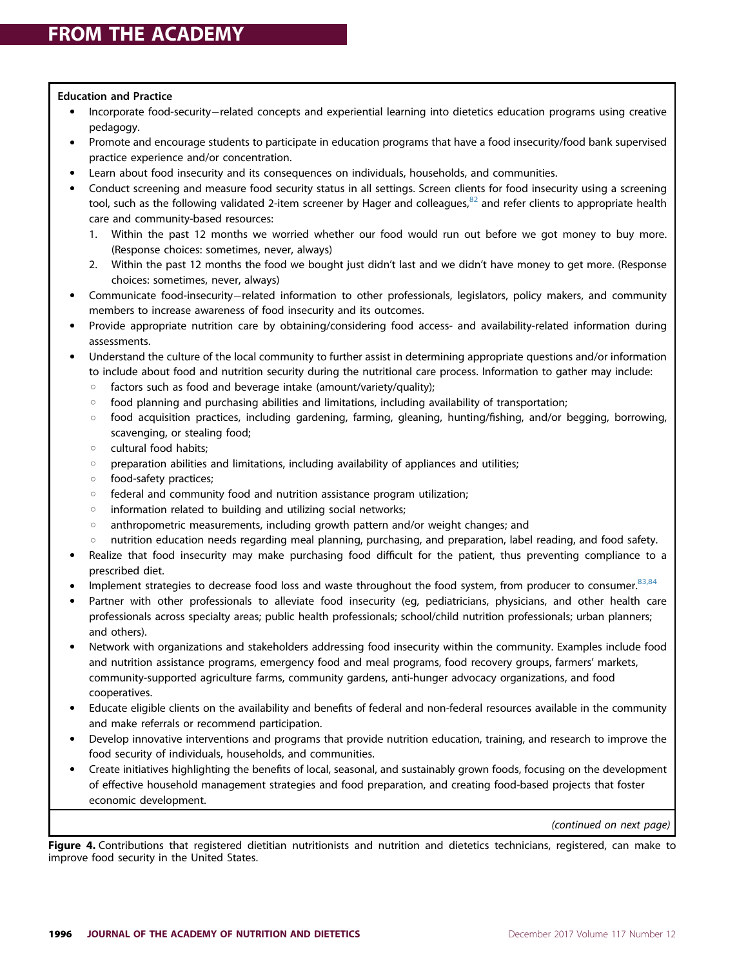#### Education and Practice

- Incorporate food-security-related concepts and experiential learning into dietetics education programs using creative pedagogy.
- Promote and encourage students to participate in education programs that have a food insecurity/food bank supervised practice experience and/or concentration.
- Learn about food insecurity and its consequences on individuals, households, and communities.
- Conduct screening and measure food security status in all settings. Screen clients for food insecurity using a screening tool, such as the following validated 2-item screener by Hager and colleagues, ${}^{82}$  and refer clients to appropriate health care and community-based resources:
	- 1. Within the past 12 months we worried whether our food would run out before we got money to buy more. (Response choices: sometimes, never, always)
	- 2. Within the past 12 months the food we bought just didn't last and we didn't have money to get more. (Response choices: sometimes, never, always)
- Communicate food-insecurity-related information to other professionals, legislators, policy makers, and community members to increase awareness of food insecurity and its outcomes.
- Provide appropriate nutrition care by obtaining/considering food access- and availability-related information during assessments.
- Understand the culture of the local community to further assist in determining appropriate questions and/or information to include about food and nutrition security during the nutritional care process. Information to gather may include:
	- $\circ$  factors such as food and beverage intake (amount/variety/quality);
	- $\circ$  food planning and purchasing abilities and limitations, including availability of transportation;
	- $\circ$  food acquisition practices, including gardening, farming, gleaning, hunting/fishing, and/or begging, borrowing, scavenging, or stealing food;
	- $\circ$  cultural food habits;
	- $\circ$  preparation abilities and limitations, including availability of appliances and utilities;
	- o food-safety practices;
	- $\circ$  federal and community food and nutrition assistance program utilization;
	- $\circ$  information related to building and utilizing social networks;
	- $\circ$  anthropometric measurements, including growth pattern and/or weight changes; and
	- $\circ$  nutrition education needs regarding meal planning, purchasing, and preparation, label reading, and food safety.
- Realize that food insecurity may make purchasing food difficult for the patient, thus preventing compliance to a prescribed diet.
- Implement strategies to decrease food loss and waste throughout the food system, from producer to consumer. 83,84
- Partner with other professionals to alleviate food insecurity (eg, pediatricians, physicians, and other health care professionals across specialty areas; public health professionals; school/child nutrition professionals; urban planners; and others).
- Network with organizations and stakeholders addressing food insecurity within the community. Examples include food and nutrition assistance programs, emergency food and meal programs, food recovery groups, farmers' markets, community-supported agriculture farms, community gardens, anti-hunger advocacy organizations, and food cooperatives.
- Educate eligible clients on the availability and benefits of federal and non-federal resources available in the community and make referrals or recommend participation.
- Develop innovative interventions and programs that provide nutrition education, training, and research to improve the food security of individuals, households, and communities.
- Create initiatives highlighting the benefits of local, seasonal, and sustainably grown foods, focusing on the development of effective household management strategies and food preparation, and creating food-based projects that foster economic development.

(continued on next page)

Figure 4. Contributions that registered dietitian nutritionists and nutrition and dietetics technicians, registered, can make to improve food security in the United States.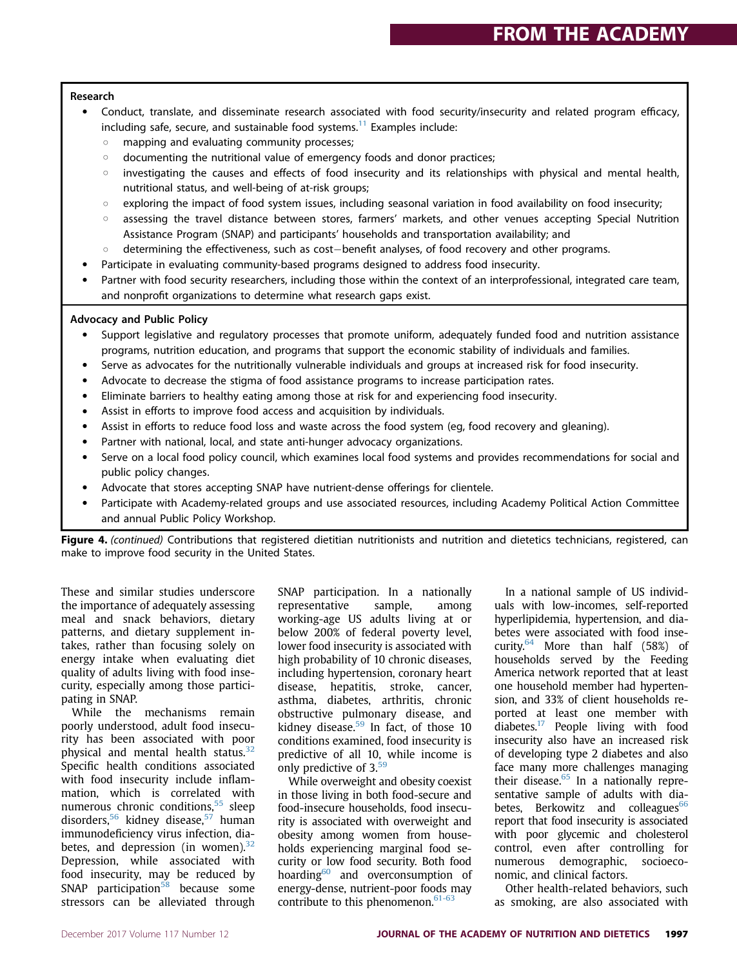#### Research

- Conduct, translate, and disseminate research associated with food security/insecurity and related program efficacy, including safe, secure, and sustainable food systems. $11$  Examples include:
	- $\circ$  mapping and evaluating community processes;
	- $\circ$  documenting the nutritional value of emergency foods and donor practices;
	- $\circ$  investigating the causes and effects of food insecurity and its relationships with physical and mental health, nutritional status, and well-being of at-risk groups;
	- $\circ$  exploring the impact of food system issues, including seasonal variation in food availability on food insecurity;
	- $\circ$  assessing the travel distance between stores, farmers' markets, and other venues accepting Special Nutrition Assistance Program (SNAP) and participants' households and transportation availability; and
	- $\circ$  determining the effectiveness, such as cost-benefit analyses, of food recovery and other programs.
- Participate in evaluating community-based programs designed to address food insecurity.
- Partner with food security researchers, including those within the context of an interprofessional, integrated care team, and nonprofit organizations to determine what research gaps exist.

#### Advocacy and Public Policy

- Support legislative and regulatory processes that promote uniform, adequately funded food and nutrition assistance programs, nutrition education, and programs that support the economic stability of individuals and families.
- Serve as advocates for the nutritionally vulnerable individuals and groups at increased risk for food insecurity.
- Advocate to decrease the stigma of food assistance programs to increase participation rates.
- Eliminate barriers to healthy eating among those at risk for and experiencing food insecurity.
- Assist in efforts to improve food access and acquisition by individuals.
- Assist in efforts to reduce food loss and waste across the food system (eg, food recovery and gleaning).
- Partner with national, local, and state anti-hunger advocacy organizations.
- Serve on a local food policy council, which examines local food systems and provides recommendations for social and public policy changes.
- Advocate that stores accepting SNAP have nutrient-dense offerings for clientele.
- Participate with Academy-related groups and use associated resources, including Academy Political Action Committee and annual Public Policy Workshop.

Figure 4. (continued) Contributions that registered dietitian nutritionists and nutrition and dietetics technicians, registered, can make to improve food security in the United States.

These and similar studies underscore the importance of adequately assessing meal and snack behaviors, dietary patterns, and dietary supplement intakes, rather than focusing solely on energy intake when evaluating diet quality of adults living with food insecurity, especially among those participating in SNAP.

While the mechanisms remain poorly understood, adult food insecurity has been associated with poor physical and mental health status.<sup>32</sup> Specific health conditions associated with food insecurity include inflammation, which is correlated with numerous chronic conditions,<sup>55</sup> sleep disorders,<sup>56</sup> kidney disease,<sup>57</sup> human immunodeficiency virus infection, diabetes, and depression (in women). $32$ Depression, while associated with food insecurity, may be reduced by  $SNAP$  participation<sup>58</sup> because some stressors can be alleviated through SNAP participation. In a nationally representative sample, among working-age US adults living at or below 200% of federal poverty level, lower food insecurity is associated with high probability of 10 chronic diseases, including hypertension, coronary heart disease, hepatitis, stroke, cancer, asthma, diabetes, arthritis, chronic obstructive pulmonary disease, and kidney disease. $59$  In fact, of those 10 conditions examined, food insecurity is predictive of all 10, while income is only predictive of 3.<sup>59</sup>

While overweight and obesity coexist in those living in both food-secure and food-insecure households, food insecurity is associated with overweight and obesity among women from households experiencing marginal food security or low food security. Both food hoarding<sup>60</sup> and overconsumption of energy-dense, nutrient-poor foods may contribute to this phenomenon. $61-63$ 

In a national sample of US individuals with low-incomes, self-reported hyperlipidemia, hypertension, and diabetes were associated with food insecurity.64 More than half (58%) of households served by the Feeding America network reported that at least one household member had hypertension, and 33% of client households reported at least one member with diabetes.17 People living with food insecurity also have an increased risk of developing type 2 diabetes and also face many more challenges managing their disease. $65$  In a nationally representative sample of adults with diabetes, Berkowitz and colleagues<sup>66</sup> report that food insecurity is associated with poor glycemic and cholesterol control, even after controlling for numerous demographic, socioeconomic, and clinical factors.

Other health-related behaviors, such as smoking, are also associated with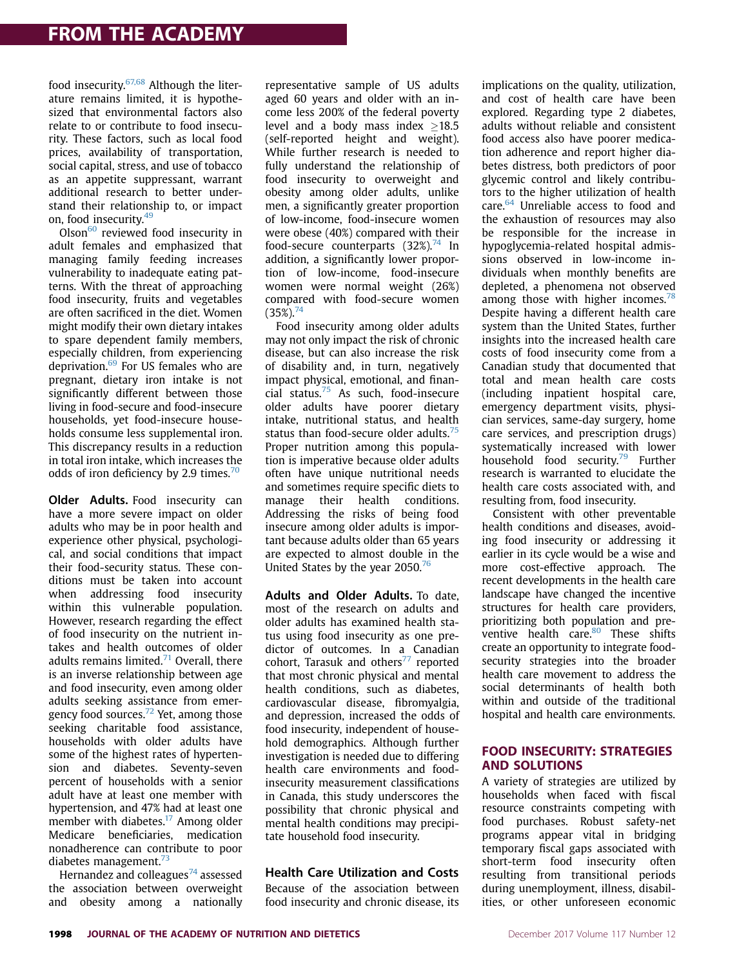# FROM THE ACADEMY

food insecurity.67,68 Although the literature remains limited, it is hypothesized that environmental factors also relate to or contribute to food insecurity. These factors, such as local food prices, availability of transportation, social capital, stress, and use of tobacco as an appetite suppressant, warrant additional research to better understand their relationship to, or impact on, food insecurity.<sup>49</sup>

 $Olson<sup>60</sup>$  reviewed food insecurity in adult females and emphasized that managing family feeding increases vulnerability to inadequate eating patterns. With the threat of approaching food insecurity, fruits and vegetables are often sacrificed in the diet. Women might modify their own dietary intakes to spare dependent family members, especially children, from experiencing deprivation.<sup>69</sup> For US females who are pregnant, dietary iron intake is not significantly different between those living in food-secure and food-insecure households, yet food-insecure households consume less supplemental iron. This discrepancy results in a reduction in total iron intake, which increases the odds of iron deficiency by 2.9 times.<sup>70</sup>

Older Adults. Food insecurity can have a more severe impact on older adults who may be in poor health and experience other physical, psychological, and social conditions that impact their food-security status. These conditions must be taken into account when addressing food insecurity within this vulnerable population. However, research regarding the effect of food insecurity on the nutrient intakes and health outcomes of older adults remains limited. $71$  Overall, there is an inverse relationship between age and food insecurity, even among older adults seeking assistance from emergency food sources.<sup>72</sup> Yet, among those seeking charitable food assistance, households with older adults have some of the highest rates of hypertension and diabetes. Seventy-seven percent of households with a senior adult have at least one member with hypertension, and 47% had at least one member with diabetes.<sup>17</sup> Among older Medicare beneficiaries, medication nonadherence can contribute to poor diabetes management.<sup>73</sup>

Hernandez and colleagues $^{74}$  assessed the association between overweight and obesity among a nationally

representative sample of US adults aged 60 years and older with an income less 200% of the federal poverty level and a body mass index  $>18.5$ (self-reported height and weight). While further research is needed to fully understand the relationship of food insecurity to overweight and obesity among older adults, unlike men, a significantly greater proportion of low-income, food-insecure women were obese (40%) compared with their food-secure counterparts  $(32\%)$ <sup>74</sup> In addition, a significantly lower proportion of low-income, food-insecure women were normal weight (26%) compared with food-secure women  $(35\%)^{74}$ 

Food insecurity among older adults may not only impact the risk of chronic disease, but can also increase the risk of disability and, in turn, negatively impact physical, emotional, and financial status. $75$  As such, food-insecure older adults have poorer dietary intake, nutritional status, and health status than food-secure older adults. $75$ Proper nutrition among this population is imperative because older adults often have unique nutritional needs and sometimes require specific diets to manage their health conditions. Addressing the risks of being food insecure among older adults is important because adults older than 65 years are expected to almost double in the United States by the year 2050.<sup>76</sup>

Adults and Older Adults. To date, most of the research on adults and older adults has examined health status using food insecurity as one predictor of outcomes. In a Canadian cohort, Tarasuk and others $77$  reported that most chronic physical and mental health conditions, such as diabetes, cardiovascular disease, fibromyalgia, and depression, increased the odds of food insecurity, independent of household demographics. Although further investigation is needed due to differing health care environments and foodinsecurity measurement classifications in Canada, this study underscores the possibility that chronic physical and mental health conditions may precipitate household food insecurity.

#### Health Care Utilization and Costs

Because of the association between food insecurity and chronic disease, its implications on the quality, utilization, and cost of health care have been explored. Regarding type 2 diabetes, adults without reliable and consistent food access also have poorer medication adherence and report higher diabetes distress, both predictors of poor glycemic control and likely contributors to the higher utilization of health care.<sup>64</sup> Unreliable access to food and the exhaustion of resources may also be responsible for the increase in hypoglycemia-related hospital admissions observed in low-income individuals when monthly benefits are depleted, a phenomena not observed among those with higher incomes.<sup>78</sup> Despite having a different health care system than the United States, further insights into the increased health care costs of food insecurity come from a Canadian study that documented that total and mean health care costs (including inpatient hospital care, emergency department visits, physician services, same-day surgery, home care services, and prescription drugs) systematically increased with lower household food security.<sup>79</sup> Further research is warranted to elucidate the health care costs associated with, and resulting from, food insecurity.

Consistent with other preventable health conditions and diseases, avoiding food insecurity or addressing it earlier in its cycle would be a wise and more cost-effective approach. The recent developments in the health care landscape have changed the incentive structures for health care providers, prioritizing both population and preventive health care.<sup>80</sup> These shifts create an opportunity to integrate foodsecurity strategies into the broader health care movement to address the social determinants of health both within and outside of the traditional hospital and health care environments.

#### **FOOD INSECURITY: STRATEGIES AND SOLUTIONS**

ence or all successes<br>A variety of strategies are utilized by households when faced with fiscal resource constraints competing with food purchases. Robust safety-net programs appear vital in bridging temporary fiscal gaps associated with short-term food insecurity often resulting from transitional periods during unemployment, illness, disabilities, or other unforeseen economic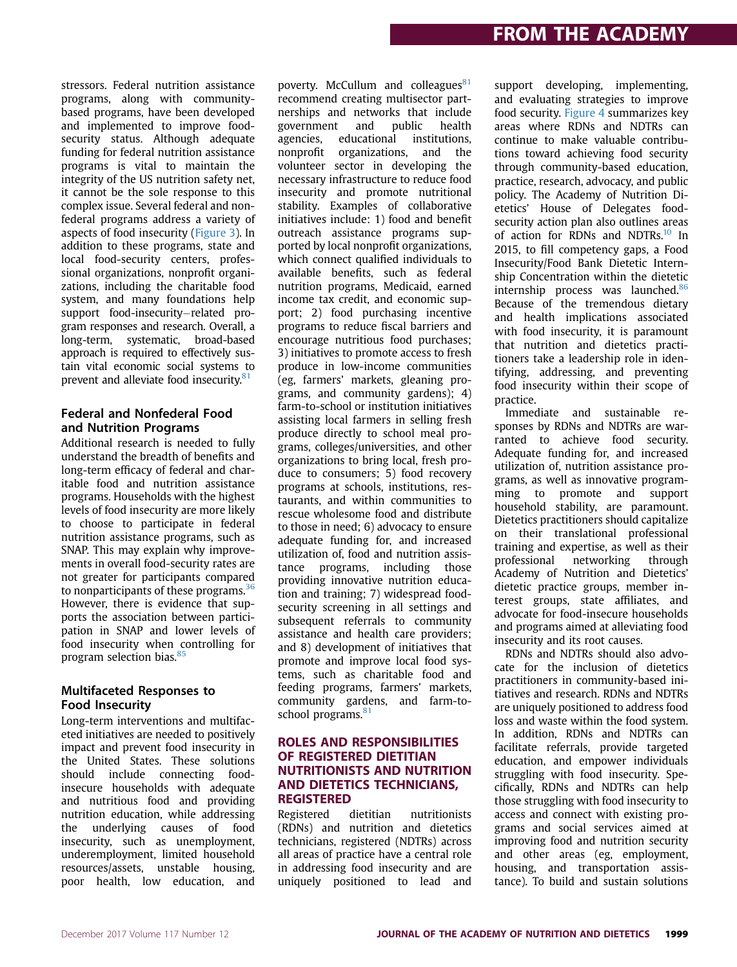stressors. Federal nutrition assistance programs, along with communitybased programs, have been developed and implemented to improve foodsecurity status. Although adequate funding for federal nutrition assistance programs is vital to maintain the integrity of the US nutrition safety net, it cannot be the sole response to this complex issue. Several federal and nonfederal programs address a variety of aspects of food insecurity (Figure 3). In addition to these programs, state and local food-security centers, professional organizations, nonprofit organizations, including the charitable food system, and many foundations help support food-insecurity-related program responses and research. Overall, a long-term, systematic, broad-based approach is required to effectively sustain vital economic social systems to prevent and alleviate food insecurity.<sup>81</sup>

#### Federal and Nonfederal Food and Nutrition Programs

Additional research is needed to fully understand the breadth of benefits and long-term efficacy of federal and charitable food and nutrition assistance programs. Households with the highest levels of food insecurity are more likely to choose to participate in federal nutrition assistance programs, such as SNAP. This may explain why improvements in overall food-security rates are not greater for participants compared to nonparticipants of these programs.<sup>36</sup> However, there is evidence that supports the association between participation in SNAP and lower levels of food insecurity when controlling for program selection bias.<sup>85</sup>

#### Multifaceted Responses to Food Insecurity

Long-term interventions and multifaceted initiatives are needed to positively impact and prevent food insecurity in the United States. These solutions should include connecting foodinsecure households with adequate and nutritious food and providing nutrition education, while addressing the underlying causes of food insecurity, such as unemployment, underemployment, limited household resources/assets, unstable housing, poor health, low education, and poverty. McCullum and colleagues<sup>81</sup> recommend creating multisector partnerships and networks that include government and public health agencies, educational institutions, nonprofit organizations, and the volunteer sector in developing the necessary infrastructure to reduce food insecurity and promote nutritional stability. Examples of collaborative initiatives include: 1) food and benefit outreach assistance programs supported by local nonprofit organizations, which connect qualified individuals to available benefits, such as federal nutrition programs, Medicaid, earned income tax credit, and economic support; 2) food purchasing incentive programs to reduce fiscal barriers and encourage nutritious food purchases; 3) initiatives to promote access to fresh produce in low-income communities (eg, farmers' markets, gleaning programs, and community gardens); 4) farm-to-school or institution initiatives assisting local farmers in selling fresh produce directly to school meal programs, colleges/universities, and other organizations to bring local, fresh produce to consumers; 5) food recovery programs at schools, institutions, restaurants, and within communities to rescue wholesome food and distribute to those in need; 6) advocacy to ensure adequate funding for, and increased utilization of, food and nutrition assistance programs, including those providing innovative nutrition education and training; 7) widespread foodsecurity screening in all settings and subsequent referrals to community assistance and health care providers; and 8) development of initiatives that promote and improve local food systems, such as charitable food and feeding programs, farmers' markets, community gardens, and farm-toschool programs.<sup>81</sup>

#### ROLES AND RESPONSIBILITIES<br>OF REGISTERED DIETITIAN **NUTRITIONISTS AND NUTRITION** AND DIETETICS TECHNICIANS, **REGISTERED**

-------------<br>Registered dietitian nutritionists (RDNs) and nutrition and dietetics technicians, registered (NDTRs) across all areas of practice have a central role in addressing food insecurity and are uniquely positioned to lead and

support developing, implementing, and evaluating strategies to improve food security. Figure 4 summarizes key areas where RDNs and NDTRs can continue to make valuable contributions toward achieving food security through community-based education, practice, research, advocacy, and public policy. The Academy of Nutrition Dietetics' House of Delegates foodsecurity action plan also outlines areas of action for RDNs and NDTRs.<sup>10</sup> In 2015, to fill competency gaps, a Food Insecurity/Food Bank Dietetic Internship Concentration within the dietetic internship process was launched.<sup>86</sup> Because of the tremendous dietary and health implications associated with food insecurity, it is paramount that nutrition and dietetics practitioners take a leadership role in identifying, addressing, and preventing food insecurity within their scope of practice.

Immediate and sustainable responses by RDNs and NDTRs are warranted to achieve food security. Adequate funding for, and increased utilization of, nutrition assistance programs, as well as innovative programming to promote and support household stability, are paramount. Dietetics practitioners should capitalize on their translational professional training and expertise, as well as their professional networking through Academy of Nutrition and Dietetics' dietetic practice groups, member interest groups, state affiliates, and advocate for food-insecure households and programs aimed at alleviating food insecurity and its root causes.

RDNs and NDTRs should also advocate for the inclusion of dietetics practitioners in community-based initiatives and research. RDNs and NDTRs are uniquely positioned to address food loss and waste within the food system. In addition, RDNs and NDTRs can facilitate referrals, provide targeted education, and empower individuals struggling with food insecurity. Specifically, RDNs and NDTRs can help those struggling with food insecurity to access and connect with existing programs and social services aimed at improving food and nutrition security and other areas (eg, employment, housing, and transportation assistance). To build and sustain solutions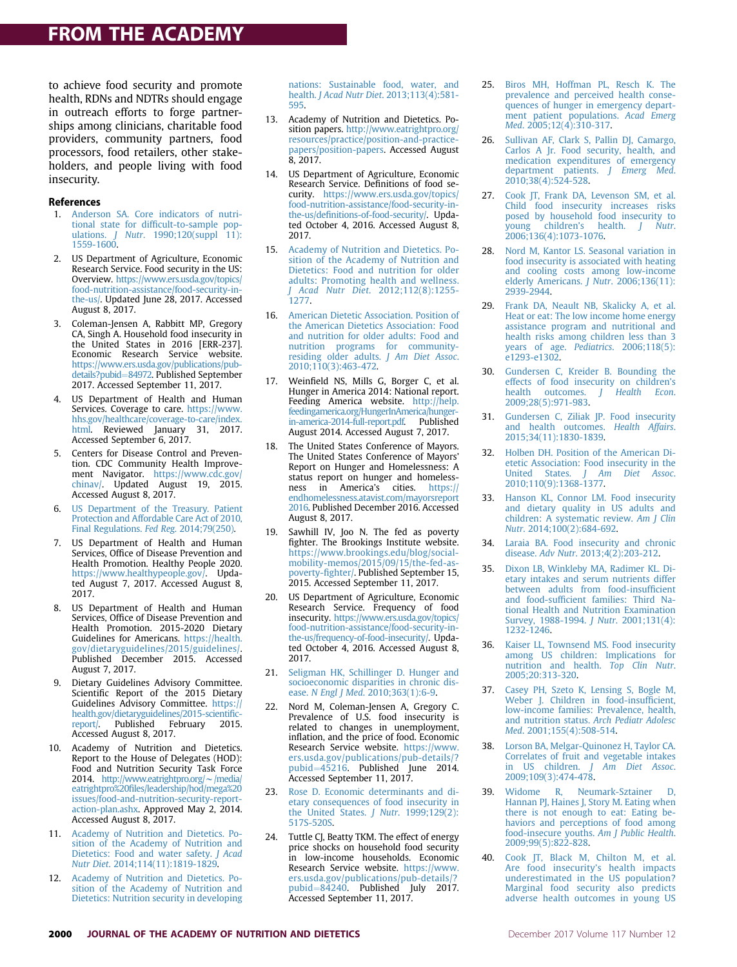# FROM THE ACADEMY

to achieve food security and promote health, RDNs and NDTRs should engage in outreach efforts to forge partnerships among clinicians, charitable food providers, community partners, food processors, food retailers, other stakeholders, and people living with food insecurity.

#### References

- 1. Anderson SA. Core indicators of nutritional state for difficult-to-sample populations. *J Nutr.* 1990;120(suppl 11): 1559-1600.
- 2. US Department of Agriculture, Economic Research Service. Food security in the US: Overview. https://www.ers.usda.gov/topics/ food-nutrition-assistance/food-security-inthe-us/. Updated June 28, 2017. Accessed August 8, 2017.
- 3. Coleman-Jensen A, Rabbitt MP, Gregory CA, Singh A. Household food insecurity in the United States in 2016 [ERR-237]. Economic Research Service website. https://www.ers.usda.gov/publications/pubdetails?pubid=84972. Published September 2017. Accessed September 11, 2017.
- 4. US Department of Health and Human Services. Coverage to care. https://www. hhs.gov/healthcare/coverage-to-care/index. html. Reviewed January 31, 2017. Accessed September 6, 2017.
- 5. Centers for Disease Control and Prevention. CDC Community Health Improvement Navigator. https://www.cdc.gov/ chinav/. Updated August 19, 2015. Accessed August 8, 2017.
- US Department of the Treasury. Patient Protection and Affordable Care Act of 2010, Final Regulations. Fed Reg. 2014;79(250).
- 7. US Department of Health and Human Services, Office of Disease Prevention and Health Promotion. Healthy People 2020. https://www.healthypeople.gov/. Updated August 7, 2017. Accessed August 8, 2017.
- 8. US Department of Health and Human Services, Office of Disease Prevention and Health Promotion. 2015-2020 Dietary Guidelines for Americans. https://health. gov/dietaryguidelines/2015/guidelines/. Published December 2015. Accessed August 7, 2017.
- 9. Dietary Guidelines Advisory Committee. Scientific Report of the 2015 Dietary Guidelines Advisory Committee. https:// health.gov/dietaryguidelines/2015-scientific-<br>report/. Published February 2015. Published February Accessed August 8, 2017.
- 10. Academy of Nutrition and Dietetics. Report to the House of Delegates (HOD): Food and Nutrition Security Task Force 2014. http://www.eatrightpro.org/ $\sim$ /media/ eatrightpro%20files/leadership/hod/mega%20 issues/food-and-nutrition-security-reportaction-plan.ashx. Approved May 2, 2014. Accessed August 8, 2017.
- 11. Academy of Nutrition and Dietetics. Position of the Academy of Nutrition and Dietetics: Food and water safety. J Acad Nutr Diet. 2014;114(11):1819-1829.
- 12. Academy of Nutrition and Dietetics. Position of the Academy of Nutrition and Dietetics: Nutrition security in developing

nations: Sustainable food, water, and health. J Acad Nutr Diet. 2013;113(4):581- 595.

- 13. Academy of Nutrition and Dietetics. Position papers. http://www.eatrightpro.org/ resources/practice/position-and-practicepapers/position-papers. Accessed August 8, 2017.
- 14. US Department of Agriculture, Economic Research Service. Definitions of food security. https://www.ers.usda.gov/topics/ food-nutrition-assistance/food-security-inthe-us/definitions-of-food-security/. Updated October 4, 2016. Accessed August 8, 2017.
- 15. Academy of Nutrition and Dietetics. Position of the Academy of Nutrition and Dietetics: Food and nutrition for older adults: Promoting health and wellness. J Acad Nutr Diet. 2012;112(8):1255- 1277.
- 16. American Dietetic Association. Position of the American Dietetics Association: Food and nutrition for older adults: Food and nutrition programs for communityresiding older adults. J Am Diet Assoc. 2010;110(3):463-472.
- 17. Weinfield NS, Mills G, Borger C, et al. Hunger in America 2014: National report. Feeding America website. http://help. feedingamerica.org/HungerInAmerica/ in-america-2014-full-report.pdf. Published August 2014. Accessed August 7, 2017.
- 18. The United States Conference of Mayors. The United States Conference of Mayors' Report on Hunger and Homelessness: A status report on hunger and homelessness in America's cities. https:// endhomelessness.atavist.com/mayorsreport 2016. Published December 2016. Accessed August 8, 2017.
- 19. Sawhill IV, Joo N. The fed as poverty fighter. The Brookings Institute website. https://www.brookings.edu/blog/socialmobility-memos/2015/09/15/the-fed-aspoverty-fighter/. Published September 15, 2015. Accessed September 11, 2017.
- 20. US Department of Agriculture, Economic Research Service. Frequency of food insecurity. https://www.ers.usda.gov/topics/ food-nutrition-assistance/food-security-inthe-us/frequency-of-food-insecurity/. Updated October 4, 2016. Accessed August 8, 2017.
- 21. Seligman HK, Schillinger D. Hunger and socioeconomic disparities in chronic disease. N Engl J Med. 2010;363(1):6-9.
- 22. Nord M, Coleman-Jensen A, Gregory C. Prevalence of U.S. food insecurity is related to changes in unemployment, inflation, and the price of food. Economic Research Service website. https://www. ers.usda.gov/publications/pub-details/? pubid=45216. Published June 2014. Accessed September 11, 2017.
- 23. Rose D. Economic determinants and dietary consequences of food insecurity in the United States. J Nutr.  $1999;129(2)$ : 517S-520S.
- 24. Tuttle CJ, Beatty TKM. The effect of energy price shocks on household food security in low-income households. Economic Research Service website. https://www. ers.usda.gov/publications/pub-details/? pubid=84240. Published July 2017. Accessed September 11, 2017.
- 25. Biros MH, Hoffman PL, Resch K. The prevalence and perceived health consequences of hunger in emergency department patient populations. Acad Emerg Med. 2005;12(4):310-317.
- 26. Sullivan AF, Clark S, Pallin DJ, Camargo, Carlos A Jr. Food security, health, and medication expenditures of emergency department patients. J Emerg Med. 2010;38(4):524-528.
- 27. Cook JT, Frank DA, Levenson SM, et al. Child food insecurity increases risks posed by household food insecurity to young children's health. J Nutr. 2006;136(4):1073-1076.
- 28. Nord M, Kantor LS. Seasonal variation in food insecurity is associated with heating and cooling costs among low-income elderly Americans. J Nutr. 2006;136(11): 2939-2944.
- 29. Frank DA, Neault NB, Skalicky A, et al. Heat or eat: The low income home energy assistance program and nutritional and health risks among children less than 3 years of age. Pediatrics. 2006;118(5): e1293-e1302.
- 30. Gundersen C, Kreider B. Bounding the effects of food insecurity on children's<br>health outcomes. J Health Econ. health outcomes.  $J$ 2009;28(5):971-983.
- 31. Gundersen C, Ziliak JP. Food insecurity and health outcomes. Health Affairs. 2015;34(11):1830-1839.
- 32. Holben DH. Position of the American Dietetic Association: Food insecurity in the<br>United States. *J Am Diet Assoc*. Am Diet Assoc. 2010;110(9):1368-1377.
- 33. Hanson KL, Connor LM. Food insecurity and dietary quality in US adults and children: A systematic review. Am J Clin Nutr. 2014;100(2):684-692.
- 34. Laraia BA. Food insecurity and chronic disease. Adv Nutr. 2013;4(2):203-212.
- 35. Dixon LB, Winkleby MA, Radimer KL. Dietary intakes and serum nutrients differ between adults from food-insufficient and food-sufficient families: Third National Health and Nutrition Examination Survey, 1988-1994. J Nutr. 2001;131(4): 1232-1246.
- 36. Kaiser LL, Townsend MS. Food insecurity among US children: Implications for nutrition and health. Top Clin Nutr. 2005;20:313-320.
- 37. Casey PH, Szeto K, Lensing S, Bogle M, Weber J. Children in food-insufficient, low-income families: Prevalence, health, and nutrition status. Arch Pediatr Adolesc Med. 2001;155(4):508-514.
- 38. Lorson BA, Melgar-Quinonez H, Taylor CA. Correlates of fruit and vegetable intakes in US children. J Am Diet Assoc. 2009;109(3):474-478.
- 39. Widome R, Neumark-Sztainer D, Hannan PJ, Haines J, Story M. Eating when there is not enough to eat: Eating behaviors and perceptions of food among food-insecure youths. Am J Public Health. 2009;99(5):822-828.
- 40. Cook JT, Black M, Chilton M, et al. Are food insecurity's health impacts underestimated in the US population? Marginal food security also predicts adverse health outcomes in young US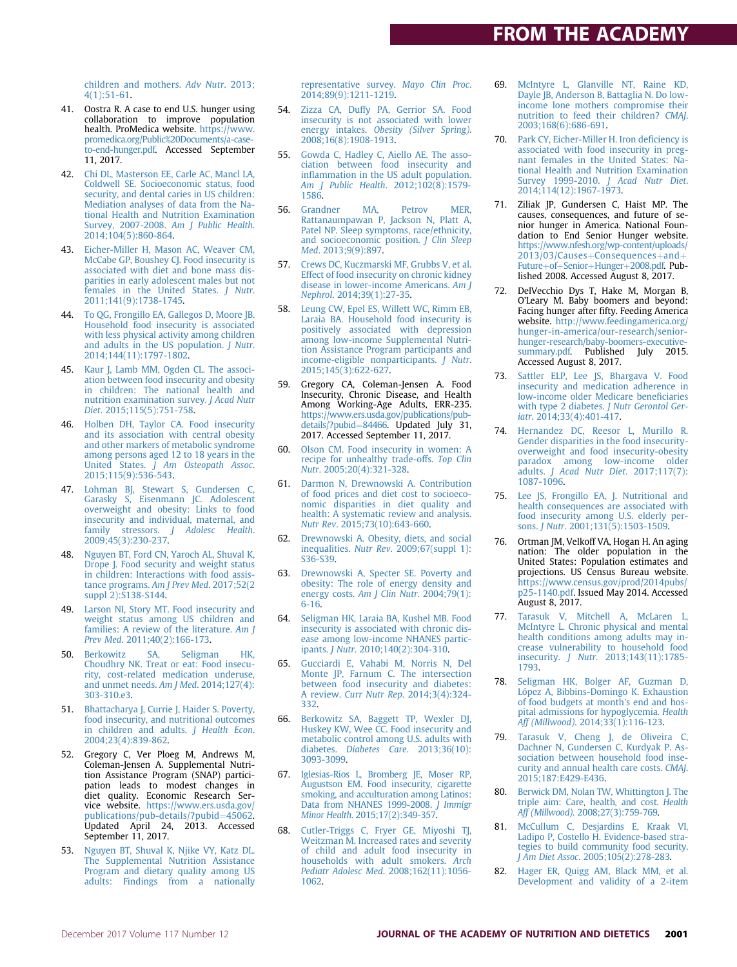children and mothers. Adv Nutr. 2013; 4(1):51-61.

- 41. Oostra R. A case to end U.S. hunger using collaboration to improve population health. ProMedica website. https://www. promedica.org/Public%20Documents/a-caseto-end-hunger.pdf. Accessed September 11, 2017.
- 42. Chi DL, Masterson EE, Carle AC, Mancl LA, Coldwell SE. Socioeconomic status, food security, and dental caries in US children: Mediation analyses of data from the National Health and Nutrition Examination Survey, 2007-2008. Am J Public Health. 2014;104(5):860-864.
- 43. Eicher-Miller H, Mason AC, Weaver CM, McCabe GP, Boushey CJ. Food insecurity is associated with diet and bone mass disparities in early adolescent males but not females in the United States. J Nutr. 2011;141(9):1738-1745.
- 44. To QG, Frongillo EA, Gallegos D, Moore JB. Household food insecurity is associated with less physical activity among children and adults in the US population. *J Nutr.* 2014;144(11):1797-1802.
- 45. Kaur J, Lamb MM, Ogden CL. The association between food insecurity and obesity in children: The national health and nutrition examination survey. J Acad Nutr Diet. 2015;115(5):751-758.
- 46. Holben DH, Taylor CA. Food insecurity and its association with central obesity and other markers of metabolic syndrome among persons aged 12 to 18 years in the United States. J Am Osteopath Assoc. 2015;115(9):536-543.
- 47. Lohman BJ, Stewart S, Gundersen C, Garasky S, Eisenmann JC. Adolescent overweight and obesity: Links to food insecurity and individual, maternal, and family stressors. J Adolesc Health. 2009;45(3):230-237.
- 48. Nguyen BT, Ford CN, Yaroch AL, Shuval K, Drope J. Food security and weight status in children: Interactions with food assistance programs. Am J Prev Med. 2017;52(2 suppl 2):S138-S144.
- 49. Larson NI, Story MT. Food insecurity and weight status among US children and families: A review of the literature. Am J Prev Med. 2011;40(2):166-173.
- 50. Berkowitz SA, Seligman HK, Choudhry NK. Treat or eat: Food insecurity, cost-related medication underuse, and unmet needs. Am J Med. 2014;127(4): 303-310.e3.
- 51. Bhattacharya J, Currie J, Haider S. Poverty, food insecurity, and nutritional outcomes in children and adults. J Health Econ. 2004;23(4):839-862.
- 52. Gregory C, Ver Ploeg M, Andrews M, Coleman-Jensen A. Supplemental Nutrition Assistance Program (SNAP) participation leads to modest changes in diet quality. Economic Research Service website. https://www.ers.usda.gov/ publications/pub-details/?pubid=45062. Updated April 24, 2013. Accessed September 11, 2017.
- 53. Nguyen BT, Shuval K, Njike VY, Katz DL. The Supplemental Nutrition Assistance Program and dietary quality among US adults: Findings from a nationally

representative survey. Mayo Clin Proc. 2014;89(9):1211-1219.

- 54. Zizza CA, Duffy PA, Gerrior SA. Food insecurity is not associated with lower energy intakes. Obesity (Silver Spring). 2008;16(8):1908-1913.
- 55. Gowda C, Hadley C, Aiello AE. The association between food insecurity and inflammation in the US adult population. Am J Public Health. 2012;102(8):1579- 1586.
- 56. Grandner MA, Petrov MER, Rattanaumpawan P, Jackson N, Platt A, Patel NP. Sleep symptoms, race/ethnicity, and socioeconomic position. J Clin Sleep Med. 2013;9(9):897.
- 57. Crews DC, Kuczmarski MF, Grubbs V, et al. Effect of food insecurity on chronic kidney disease in lower-income Americans. Am J Nephrol. 2014;39(1):27-35.
- 58. Leung CW, Epel ES, Willett WC, Rimm EB, Laraia BA. Household food insecurity is positively associated with depression among low-income Supplemental Nutrition Assistance Program participants and income-eligible nonparticipants. J Nutr. 2015;145(3):622-627.
- 59. Gregory CA, Coleman-Jensen A. Food Insecurity, Chronic Disease, and Health Among Working-Age Adults, ERR-235. https://www.ers.usda.gov/publications/pubdetails/?pubid=84466. Updated July 31, 2017. Accessed September 11, 2017.
- 60. Olson CM. Food insecurity in women: A recipe for unhealthy trade-offs. Top Clin Nutr. 2005;20(4):321-328.
- 61. Darmon N, Drewnowski A. Contribution of food prices and diet cost to socioeconomic disparities in diet quality and health: A systematic review and analysis. Nutr Rev. 2015;73(10):643-660.
- 62. Drewnowski A. Obesity, diets, and social inequalities. Nutr Rev. 2009;67(suppl 1): S36-S39.
- 63. Drewnowski A, Specter SE. Poverty and obesity: The role of energy density and energy costs. Am J Clin Nutr. 2004;79(1): 6-16.
- 64. Seligman HK, Laraia BA, Kushel MB. Food insecurity is associated with chronic disease among low-income NHANES participants. J Nutr. 2010;140(2):304-310.
- 65. Gucciardi E, Vahabi M, Norris N, Del Monte JP, Farnum C. The intersection between food insecurity and diabetes: A review. Curr Nutr Rep. 2014;3(4):324- 332.
- 66. Berkowitz SA, Baggett TP, Wexler DJ, Huskey KW, Wee CC. Food insecurity and metabolic control among U.S. adults with diabetes. Diabetes Care. 2013;36(10): 3093-3099.
- 67. Iglesias-Rios L, Bromberg JE, Moser RP, Augustson EM. Food insecurity, cigarette smoking, and acculturation among Latinos: Data from NHANES 1999-2008. J Immigr Minor Health. 2015;17(2):349-357.
- 68. Cutler-Triggs C, Fryer GE, Miyoshi TJ, Weitzman M. Increased rates and severity of child and adult food insecurity in households with adult smokers. Arch Pediatr Adolesc Med. 2008;162(11):1056- 1062.
- 69. McIntyre L, Glanville NT, Raine KD, Dayle JB, Anderson B, Battaglia N. Do lowincome lone mothers compromise their nutrition to feed their children? CMAJ. 2003;168(6):686-691.
- 70. Park CY, Eicher-Miller H. Iron deficiency is associated with food insecurity in pregnant females in the United States: National Health and Nutrition Examination Survey 1999-2010. J Acad Nutr Diet. 2014;114(12):1967-1973.
- 71. Ziliak JP, Gundersen C, Haist MP. The causes, consequences, and future of senior hunger in America. National Foundation to End Senior Hunger website. https://www.nfesh.org/wp-content/uploads/  $2013/03/Causes+Consequences+and+$ Future+of+Senior+Hunger+2008.pdf. Published 2008. Accessed August 8, 2017.
- 72. DelVecchio Dys T, Hake M, Morgan B, O'Leary M. Baby boomers and beyond: Facing hunger after fifty. Feeding America website. http://www.feedingamerica.org/ hunger-in-america/our-research/seniorhunger-research/baby-boomers-executive-summary.pdf. Published July 2015. Accessed August 8, 2017.
- 73. Sattler ELP, Lee JS, Bhargava V. Food insecurity and medication adherence in low-income older Medicare beneficiaries with type 2 diabetes. *J Nutr Gerontol Ger*iatr. 2014;33(4):401-417.
- 74. Hernandez DC, Reesor L, Murillo R. Gender disparities in the food insecurityoverweight and food insecurity-obesity paradox among low-income older adults. J Acad Nutr Diet. 2017;117(7): 1087-1096.
- 75. Lee JS, Frongillo EA, J. Nutritional and health consequences are associated with food insecurity among U.S. elderly per-sons. J Nutr. 2001;131(5):1503-1509.
- 76. Ortman JM, Velkoff VA, Hogan H. An aging nation: The older population in the United States: Population estimates and projections. US Census Bureau website. https://www.census.gov/prod/2014pubs/ p25-1140.pdf. Issued May 2014. Accessed August 8, 2017.
- 77. Tarasuk V, Mitchell A, McLaren L, McIntyre L. Chronic physical and mental health conditions among adults may increase vulnerability to household food insecurity. J Nutr. 2013;143(11):1785- 1793.
- 78. Seligman HK, Bolger AF, Guzman D, López A, Bibbins-Domingo K. Exhaustion of food budgets at month's end and hospital admissions for hypoglycemia. Health Aff (Millwood). 2014;33(1):116-123.
- 79. Tarasuk V, Cheng J, de Oliveira C, Dachner N, Gundersen C, Kurdyak P. Association between household food insecurity and annual health care costs. CMAJ. 2015;187:E429-E436.
- 80. Berwick DM, Nolan TW, Whittington J. The triple aim: Care, health, and cost. Health Aff (Millwood). 2008;27(3):759-769.
- 81. McCullum C, Desjardins E, Kraak VI, Ladipo P, Costello H. Evidence-based strategies to build community food security. J Am Diet Assoc. 2005;105(2):278-283.
- 82. Hager ER, Quigg AM, Black MM, et al. Development and validity of a 2-item